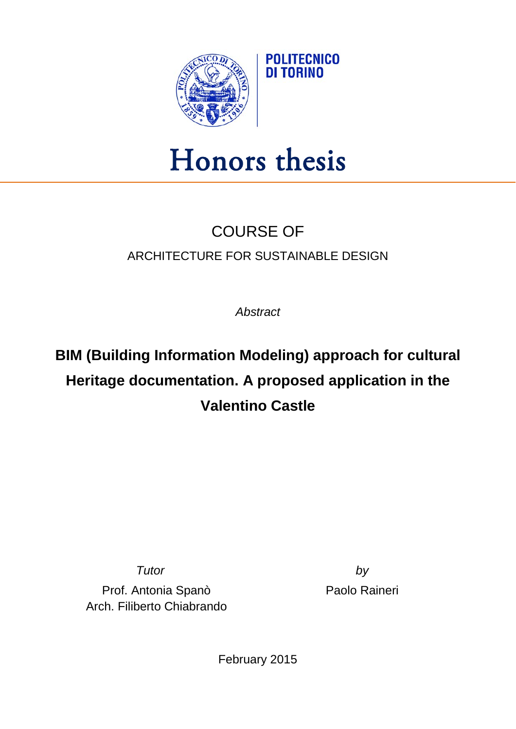

## Honors thesis

## COURSE OF ARCHITECTURE FOR SUSTAINABLE DESIGN

*Abstract*

## **BIM (Building Information Modeling) approach for cultural Heritage documentation. A proposed application in the Valentino Castle**

Prof. Antonia Spanò Arch. Filiberto Chiabrando

*Tutor by* Paolo Raineri

February 2015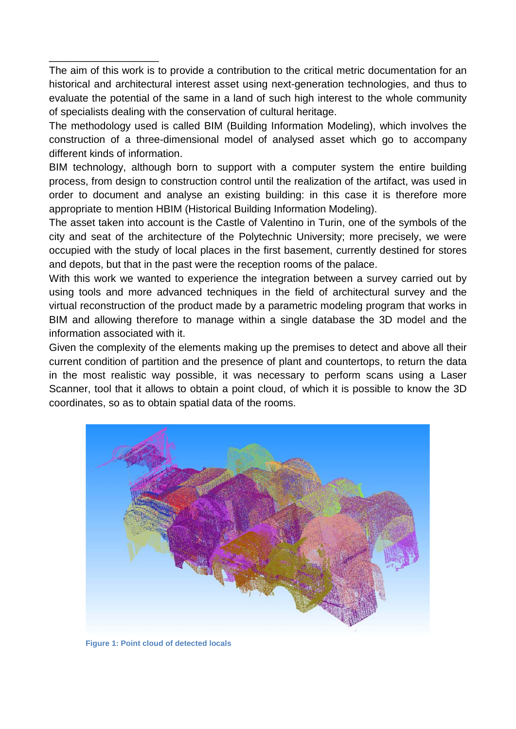The aim of this work is to provide a contribution to the critical metric documentation for an historical and architectural interest asset using next-generation technologies, and thus to evaluate the potential of the same in a land of such high interest to the whole community of specialists dealing with the conservation of cultural heritage.

\_\_\_\_\_\_\_\_\_\_\_\_\_\_\_\_\_\_\_

The methodology used is called BIM (Building Information Modeling), which involves the construction of a three-dimensional model of analysed asset which go to accompany different kinds of information.

BIM technology, although born to support with a computer system the entire building process, from design to construction control until the realization of the artifact, was used in order to document and analyse an existing building: in this case it is therefore more appropriate to mention HBIM (Historical Building Information Modeling).

The asset taken into account is the Castle of Valentino in Turin, one of the symbols of the city and seat of the architecture of the Polytechnic University; more precisely, we were occupied with the study of local places in the first basement, currently destined for stores and depots, but that in the past were the reception rooms of the palace.

With this work we wanted to experience the integration between a survey carried out by using tools and more advanced techniques in the field of architectural survey and the virtual reconstruction of the product made by a parametric modeling program that works in BIM and allowing therefore to manage within a single database the 3D model and the information associated with it.

Given the complexity of the elements making up the premises to detect and above all their current condition of partition and the presence of plant and countertops, to return the data in the most realistic way possible, it was necessary to perform scans using a Laser Scanner, tool that it allows to obtain a point cloud, of which it is possible to know the 3D coordinates, so as to obtain spatial data of the rooms.



**Figure 1: Point cloud of detected locals**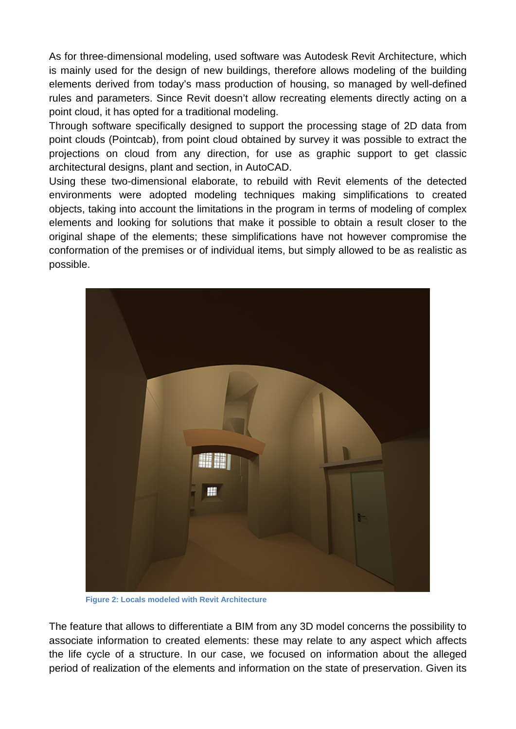As for three-dimensional modeling, used software was Autodesk Revit Architecture, which is mainly used for the design of new buildings, therefore allows modeling of the building elements derived from today's mass production of housing, so managed by well-defined rules and parameters. Since Revit doesn't allow recreating elements directly acting on a point cloud, it has opted for a traditional modeling.

Through software specifically designed to support the processing stage of 2D data from point clouds (Pointcab), from point cloud obtained by survey it was possible to extract the projections on cloud from any direction, for use as graphic support to get classic architectural designs, plant and section, in AutoCAD.

Using these two-dimensional elaborate, to rebuild with Revit elements of the detected environments were adopted modeling techniques making simplifications to created objects, taking into account the limitations in the program in terms of modeling of complex elements and looking for solutions that make it possible to obtain a result closer to the original shape of the elements; these simplifications have not however compromise the conformation of the premises or of individual items, but simply allowed to be as realistic as possible.



**Figure 2: Locals modeled with Revit Architecture**

The feature that allows to differentiate a BIM from any 3D model concerns the possibility to associate information to created elements: these may relate to any aspect which affects the life cycle of a structure. In our case, we focused on information about the alleged period of realization of the elements and information on the state of preservation. Given its